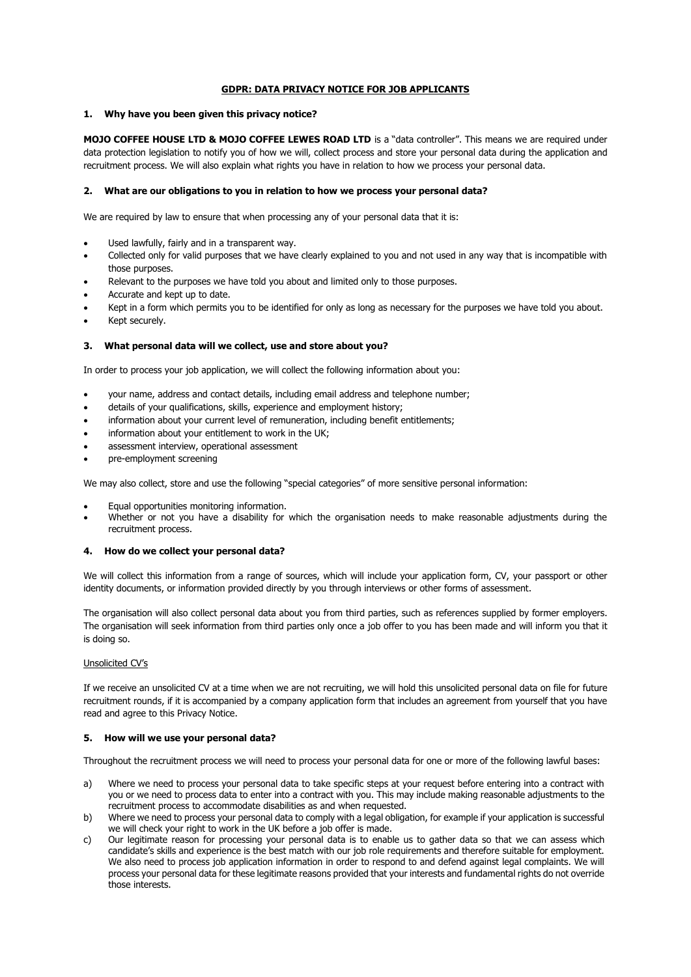# **GDPR: DATA PRIVACY NOTICE FOR JOB APPLICANTS**

# **1. Why have you been given this privacy notice?**

**MOJO COFFEE HOUSE LTD & MOJO COFFEE LEWES ROAD LTD** is a "data controller". This means we are required under data protection legislation to notify you of how we will, collect process and store your personal data during the application and recruitment process. We will also explain what rights you have in relation to how we process your personal data.

# **2. What are our obligations to you in relation to how we process your personal data?**

We are required by law to ensure that when processing any of your personal data that it is:

- Used lawfully, fairly and in a transparent way.
- Collected only for valid purposes that we have clearly explained to you and not used in any way that is incompatible with those purposes.
- Relevant to the purposes we have told you about and limited only to those purposes.
- Accurate and kept up to date.
- Kept in a form which permits you to be identified for only as long as necessary for the purposes we have told you about.
- Kept securely.

# **3. What personal data will we collect, use and store about you?**

In order to process your job application, we will collect the following information about you:

- your name, address and contact details, including email address and telephone number;
- details of your qualifications, skills, experience and employment history;
- information about your current level of remuneration, including benefit entitlements;
- information about your entitlement to work in the UK;
- assessment interview, operational assessment
- pre-employment screening

We may also collect, store and use the following "special categories" of more sensitive personal information:

- Equal opportunities monitoring information.
- Whether or not you have a disability for which the organisation needs to make reasonable adjustments during the recruitment process.

## **4. How do we collect your personal data?**

We will collect this information from a range of sources, which will include your application form, CV, your passport or other identity documents, or information provided directly by you through interviews or other forms of assessment.

The organisation will also collect personal data about you from third parties, such as references supplied by former employers. The organisation will seek information from third parties only once a job offer to you has been made and will inform you that it is doing so.

# Unsolicited CV's

If we receive an unsolicited CV at a time when we are not recruiting, we will hold this unsolicited personal data on file for future recruitment rounds, if it is accompanied by a company application form that includes an agreement from yourself that you have read and agree to this Privacy Notice.

#### **5. How will we use your personal data?**

Throughout the recruitment process we will need to process your personal data for one or more of the following lawful bases:

- a) Where we need to process your personal data to take specific steps at your request before entering into a contract with you or we need to process data to enter into a contract with you. This may include making reasonable adjustments to the recruitment process to accommodate disabilities as and when requested.
- b) Where we need to process your personal data to comply with a legal obligation, for example if your application is successful we will check your right to work in the UK before a job offer is made.
- c) Our legitimate reason for processing your personal data is to enable us to gather data so that we can assess which candidate's skills and experience is the best match with our job role requirements and therefore suitable for employment. We also need to process job application information in order to respond to and defend against legal complaints. We will process your personal data for these legitimate reasons provided that your interests and fundamental rights do not override those interests.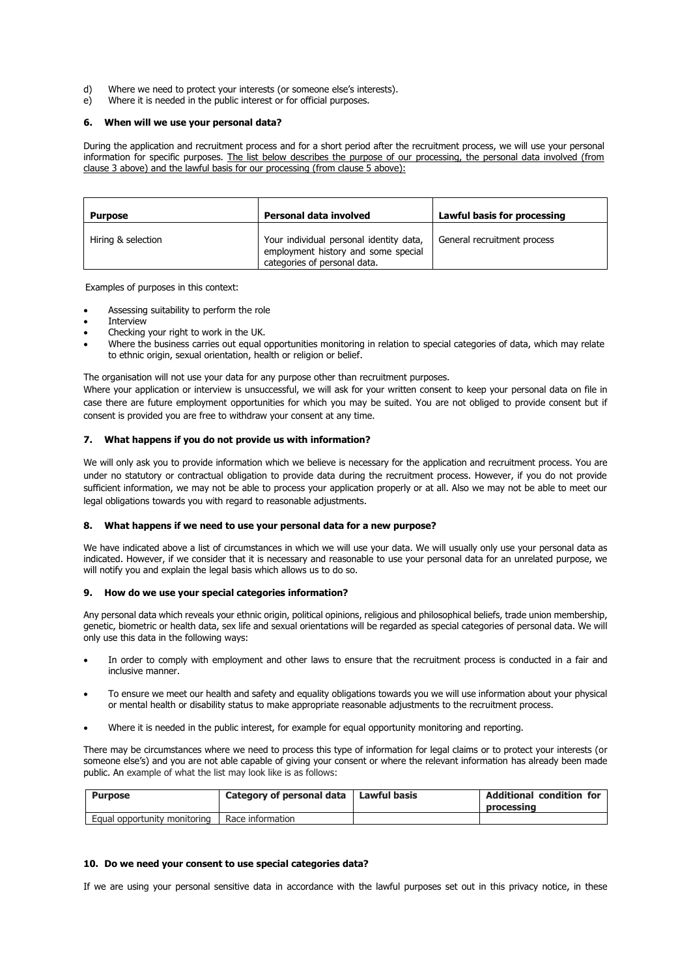- d) Where we need to protect your interests (or someone else's interests).
- e) Where it is needed in the public interest or for official purposes.

#### **6. When will we use your personal data?**

During the application and recruitment process and for a short period after the recruitment process, we will use your personal information for specific purposes. The list below describes the purpose of our processing, the personal data involved (from clause 3 above) and the lawful basis for our processing (from clause 5 above):

| <b>Purpose</b>     | Personal data involved                                                                                         | Lawful basis for processing |
|--------------------|----------------------------------------------------------------------------------------------------------------|-----------------------------|
| Hiring & selection | Your individual personal identity data,<br>employment history and some special<br>categories of personal data. | General recruitment process |

Examples of purposes in this context:

- Assessing suitability to perform the role
- **Interview**
- Checking your right to work in the UK.
- Where the business carries out equal opportunities monitoring in relation to special categories of data, which may relate to ethnic origin, sexual orientation, health or religion or belief.

The organisation will not use your data for any purpose other than recruitment purposes.

Where your application or interview is unsuccessful, we will ask for your written consent to keep your personal data on file in case there are future employment opportunities for which you may be suited. You are not obliged to provide consent but if consent is provided you are free to withdraw your consent at any time.

### **7. What happens if you do not provide us with information?**

We will only ask you to provide information which we believe is necessary for the application and recruitment process. You are under no statutory or contractual obligation to provide data during the recruitment process. However, if you do not provide sufficient information, we may not be able to process your application properly or at all. Also we may not be able to meet our legal obligations towards you with regard to reasonable adjustments.

### **8. What happens if we need to use your personal data for a new purpose?**

We have indicated above a list of circumstances in which we will use your data. We will usually only use your personal data as indicated. However, if we consider that it is necessary and reasonable to use your personal data for an unrelated purpose, we will notify you and explain the legal basis which allows us to do so.

# **9. How do we use your special categories information?**

Any personal data which reveals your ethnic origin, political opinions, religious and philosophical beliefs, trade union membership, genetic, biometric or health data, sex life and sexual orientations will be regarded as special categories of personal data. We will only use this data in the following ways:

- In order to comply with employment and other laws to ensure that the recruitment process is conducted in a fair and inclusive manner.
- To ensure we meet our health and safety and equality obligations towards you we will use information about your physical or mental health or disability status to make appropriate reasonable adjustments to the recruitment process.
- Where it is needed in the public interest, for example for equal opportunity monitoring and reporting.

There may be circumstances where we need to process this type of information for legal claims or to protect your interests (or someone else's) and you are not able capable of giving your consent or where the relevant information has already been made public. An example of what the list may look like is as follows:

| <b>Purpose</b>               | Category of personal data   Lawful basis | <b>Additional condition for</b><br>processing |
|------------------------------|------------------------------------------|-----------------------------------------------|
| Equal opportunity monitoring | Race information                         |                                               |

#### **10. Do we need your consent to use special categories data?**

If we are using your personal sensitive data in accordance with the lawful purposes set out in this privacy notice, in these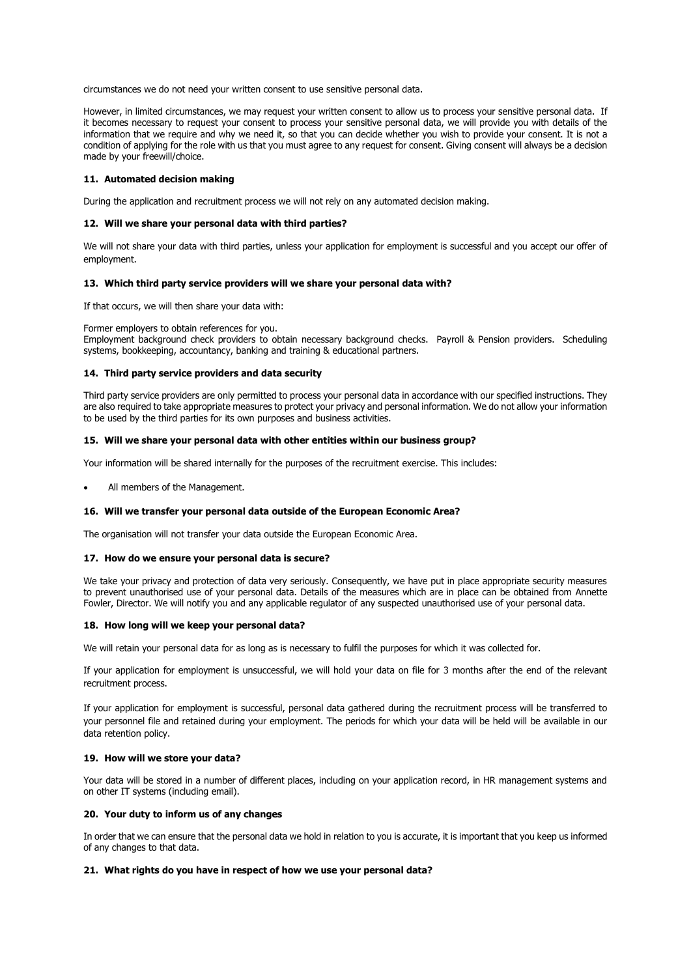circumstances we do not need your written consent to use sensitive personal data.

However, in limited circumstances, we may request your written consent to allow us to process your sensitive personal data. If it becomes necessary to request your consent to process your sensitive personal data, we will provide you with details of the information that we require and why we need it, so that you can decide whether you wish to provide your consent. It is not a condition of applying for the role with us that you must agree to any request for consent. Giving consent will always be a decision made by your freewill/choice.

# **11. Automated decision making**

During the application and recruitment process we will not rely on any automated decision making.

#### **12. Will we share your personal data with third parties?**

We will not share your data with third parties, unless your application for employment is successful and you accept our offer of employment.

### **13. Which third party service providers will we share your personal data with?**

If that occurs, we will then share your data with:

Former employers to obtain references for you.

Employment background check providers to obtain necessary background checks. Payroll & Pension providers. Scheduling systems, bookkeeping, accountancy, banking and training & educational partners.

### **14. Third party service providers and data security**

Third party service providers are only permitted to process your personal data in accordance with our specified instructions. They are also required to take appropriate measures to protect your privacy and personal information. We do not allow your information to be used by the third parties for its own purposes and business activities.

### **15. Will we share your personal data with other entities within our business group?**

Your information will be shared internally for the purposes of the recruitment exercise. This includes:

All members of the Management.

#### **16. Will we transfer your personal data outside of the European Economic Area?**

The organisation will not transfer your data outside the European Economic Area.

#### **17. How do we ensure your personal data is secure?**

We take your privacy and protection of data very seriously. Consequently, we have put in place appropriate security measures to prevent unauthorised use of your personal data. Details of the measures which are in place can be obtained from Annette Fowler, Director. We will notify you and any applicable regulator of any suspected unauthorised use of your personal data.

#### **18. How long will we keep your personal data?**

We will retain your personal data for as long as is necessary to fulfil the purposes for which it was collected for.

If your application for employment is unsuccessful, we will hold your data on file for 3 months after the end of the relevant recruitment process.

If your application for employment is successful, personal data gathered during the recruitment process will be transferred to your personnel file and retained during your employment. The periods for which your data will be held will be available in our data retention policy.

#### **19. How will we store your data?**

Your data will be stored in a number of different places, including on your application record, in HR management systems and on other IT systems (including email).

#### **20. Your duty to inform us of any changes**

In order that we can ensure that the personal data we hold in relation to you is accurate, it is important that you keep us informed of any changes to that data.

# **21. What rights do you have in respect of how we use your personal data?**